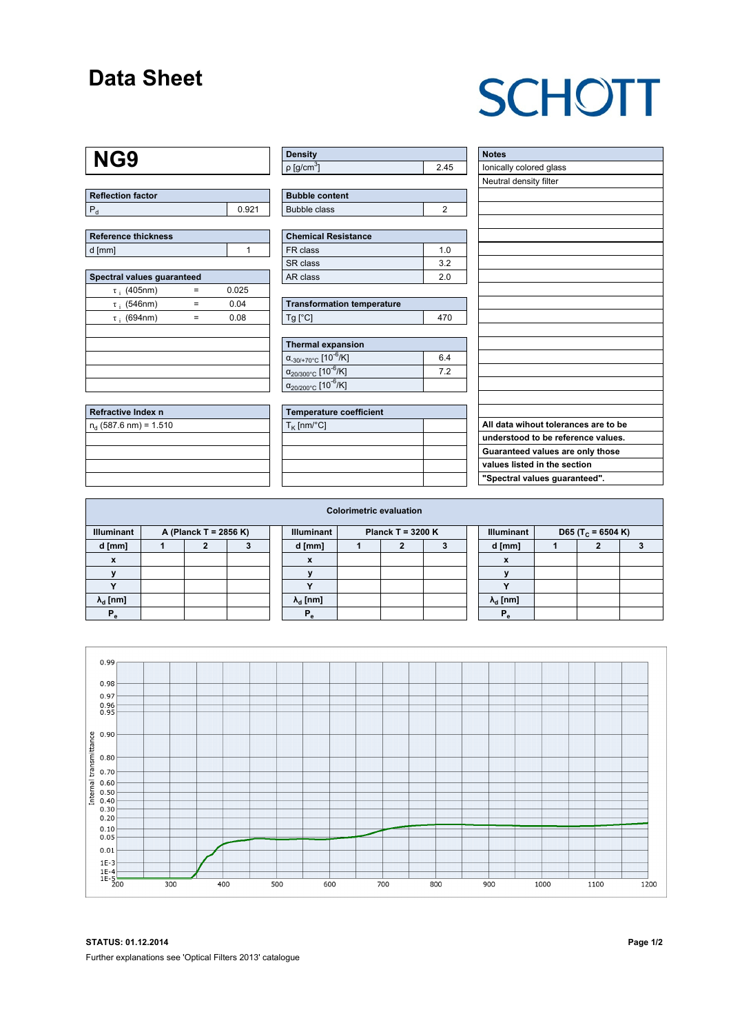### **Data Sheet**

# **SCHOTT**

### **NG9**

| <b>Reflection factor</b> |  |
|--------------------------|--|
|                          |  |

| Reference thickness |  |
|---------------------|--|
| d [mm]              |  |

| Spectral values guaranteed |   |       |  |  |  |  |  |  |  |  |
|----------------------------|---|-------|--|--|--|--|--|--|--|--|
| $\tau$ ; (405nm)           |   | 0.025 |  |  |  |  |  |  |  |  |
| $\tau$ ; (546nm)           | = | 0.04  |  |  |  |  |  |  |  |  |
| $\tau$ ; (694nm)           | = | 0.08  |  |  |  |  |  |  |  |  |
|                            |   |       |  |  |  |  |  |  |  |  |
|                            |   |       |  |  |  |  |  |  |  |  |
|                            |   |       |  |  |  |  |  |  |  |  |
|                            |   |       |  |  |  |  |  |  |  |  |
|                            |   |       |  |  |  |  |  |  |  |  |

| Refractive Index n             |  |
|--------------------------------|--|
| $n_{\rm d}$ (587.6 nm) = 1.510 |  |
|                                |  |
|                                |  |
|                                |  |
|                                |  |

| Density                     |      |
|-----------------------------|------|
| $\rho$ [g/cm <sup>3</sup> ] | 2.45 |

| <b>Bubble content</b> |  |
|-----------------------|--|
| <b>Bubble class</b>   |  |

| <b>Chemical Resistance</b> |     |  |  |  |  |  |
|----------------------------|-----|--|--|--|--|--|
| FR class                   | 1 N |  |  |  |  |  |
| SR class                   | 32  |  |  |  |  |  |
| AR class                   | 20  |  |  |  |  |  |

| <b>Transformation temperature</b> |     |  |  |  |  |
|-----------------------------------|-----|--|--|--|--|
| $Ta$ $C1$                         | 470 |  |  |  |  |

| Thermal expansion                                 |     |  |  |  |  |  |  |
|---------------------------------------------------|-----|--|--|--|--|--|--|
| $\alpha_{.30/+70\degree}$ C [10 <sup>-6</sup> /K] | 6.4 |  |  |  |  |  |  |
| $\alpha_{20/300^{\circ}C}$ [10 <sup>-6</sup> /K]  | 72  |  |  |  |  |  |  |
| $\alpha_{20/200^{\circ}C}$ [10 <sup>-6</sup> /K]  |     |  |  |  |  |  |  |

| Temperature coefficient |  |  |  |  |  |  |  |
|-------------------------|--|--|--|--|--|--|--|
| $T_{\rm K}$ [nm/°C]     |  |  |  |  |  |  |  |
|                         |  |  |  |  |  |  |  |
|                         |  |  |  |  |  |  |  |
|                         |  |  |  |  |  |  |  |
|                         |  |  |  |  |  |  |  |

| <b>Notes</b><br>lonically colored glass<br>Neutral density filter |
|-------------------------------------------------------------------|
|                                                                   |
|                                                                   |
|                                                                   |
|                                                                   |
|                                                                   |
|                                                                   |
|                                                                   |
|                                                                   |
|                                                                   |
|                                                                   |
|                                                                   |
|                                                                   |
|                                                                   |
|                                                                   |
|                                                                   |
|                                                                   |
|                                                                   |
|                                                                   |
|                                                                   |
|                                                                   |
| All data wihout tolerances are to be                              |
| understood to be reference values.                                |
| Guaranteed values are only those                                  |
| values listed in the section                                      |
| "Spectral values guaranteed".                                     |

| <b>Colorimetric evaluation</b>             |  |  |  |  |                                          |  |  |  |  |                          |                               |  |  |
|--------------------------------------------|--|--|--|--|------------------------------------------|--|--|--|--|--------------------------|-------------------------------|--|--|
| <b>Illuminant</b><br>A (Planck T = 2856 K) |  |  |  |  | <b>Illuminant</b><br>Planck T = $3200 K$ |  |  |  |  | <b>Illuminant</b>        | D65 (T <sub>c</sub> = 6504 K) |  |  |
| d [mm]                                     |  |  |  |  | d [mm]                                   |  |  |  |  | d [mm]                   |                               |  |  |
| X                                          |  |  |  |  | X                                        |  |  |  |  | X                        |                               |  |  |
|                                            |  |  |  |  |                                          |  |  |  |  |                          |                               |  |  |
|                                            |  |  |  |  |                                          |  |  |  |  | $\overline{\phantom{a}}$ |                               |  |  |
| $\lambda_{\rm d}$ [nm]                     |  |  |  |  | $\lambda_{\rm d}$ [nm]                   |  |  |  |  | $\lambda_{d}$ [nm]       |                               |  |  |
| $P_e$                                      |  |  |  |  | $P_e$                                    |  |  |  |  |                          |                               |  |  |